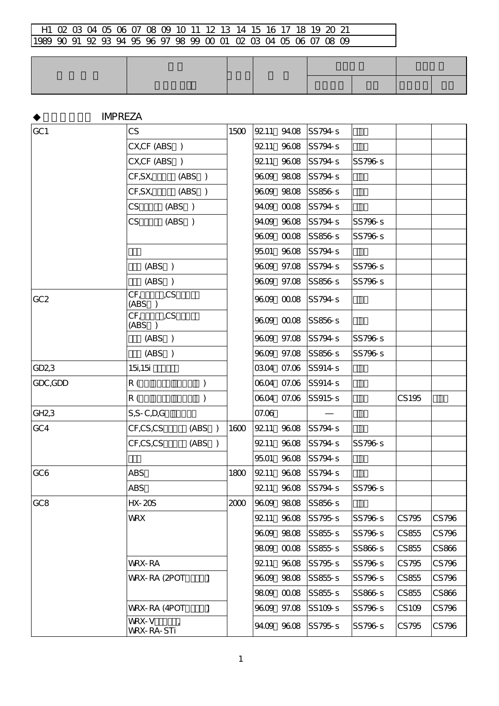| GC1               | CS                              |               | 1500 | 9211  | 94.08       | SS794-s            |         |       |       |
|-------------------|---------------------------------|---------------|------|-------|-------------|--------------------|---------|-------|-------|
|                   | CX,CF (ABS )                    |               |      | 9211  | 9608        | SS794-s            |         |       |       |
|                   | CX,CF (ABS )                    |               |      | 9211  |             | 9608 SS794-s       | SS796-s |       |       |
|                   | CF, SX,                         | (ABS)         |      |       | 9609 9808   | SS794-s            |         |       |       |
|                   | CF, SX,                         | (ABS)         |      |       | 9609 9808   | SS856-s            |         |       |       |
|                   | CS<br>(ABS )                    |               |      |       | 94.09 00.08 | SS794-s            |         |       |       |
|                   | CS<br>(ABS )                    |               |      |       | 94.09 96.08 | SS794-s            | SS796-s |       |       |
|                   |                                 |               |      |       | 9609 0008   | <b>SS856-s</b>     | SS796-s |       |       |
|                   |                                 |               |      |       |             | 9501 9608 SS794-s  |         |       |       |
|                   | (ABS )                          |               |      |       |             | 9609 97.08 SS794-s | SS796-s |       |       |
|                   | (ABS)                           |               |      |       |             | 9609 97.08 SS856-s | SS796-s |       |       |
| GC <sub>2</sub>   | CF,<br>,CS<br>(ABS)             |               |      |       |             | 9609 0008 SS794-s  |         |       |       |
|                   | ,CS<br>CF <sub>r</sub><br>(ABS) |               |      |       |             | 9609 0008 SS856-s  |         |       |       |
|                   | (ABS)                           |               |      |       |             | 9609 97.08 SS794-s | SS796-s |       |       |
|                   | (ABS)                           |               |      |       |             | 9609 97.08 SS856-s | SS796-s |       |       |
| GD23              | 15,15                           |               |      |       |             | 0304 07.06 SS914-s |         |       |       |
| GDC, GDD          | R (                             | )             |      |       |             | 0604 07.06 SS914-s |         |       |       |
|                   | R (                             | ).            |      |       |             | 0604 07.06 SS915-s |         | CS195 |       |
| GH <sub>2</sub> 3 | $S, S - C, D, G$                |               |      | 07.06 |             |                    |         |       |       |
| GC4               | CF,CS,CS                        | (ABS)         | 1600 | 9211  | 9608        | SS794-s            |         |       |       |
|                   | CF,CS,CS                        | (ABS)         |      | 9211  | 9608        | SS794-s            | SS796-s |       |       |
|                   |                                 |               |      | 9501  | 9608        | SS794-s            |         |       |       |
| GC6               | <b>ABS</b>                      |               | 1800 | 9211  | 9608        | SS794-s            |         |       |       |
|                   | <b>ABS</b>                      |               |      | 9211  |             | 9608 SS794-s       | SS796-s |       |       |
| GC <sub>8</sub>   | $HX - 20S$                      |               | 2000 | 9609  | 9808        | SS856-s            |         |       |       |
|                   | <b>WRX</b>                      |               |      | 9211  | 9608        | SS795-s            | SS796-s | CS795 | CS796 |
|                   |                                 |               |      | 9609  | 9808        | SS855-s            | SS796-s | CS855 | CS796 |
|                   |                                 |               |      | 9809  | 0008        | SS855-s            | SS866-s | CS855 | CS866 |
|                   | WRX-RA                          |               |      | 9211  | 9608        | SS795-s            | SS796-s | CS795 | CS796 |
|                   | WRX-RA (2POT                    | $\mathcal{C}$ |      | 9609  | 9808        | SS855-s            | SS796-s | CS855 | CS796 |
|                   |                                 |               |      | 9809  | 0008        | SS855-s            | SS866-s | CS855 | CS866 |
|                   | WRX-RA (4POT                    | $\mathcal{E}$ |      |       | 9609 97.08  | SS109-s            | SS796-s | CS109 | CS796 |
|                   | WRX-V<br><b>WRX-RA-STi</b>      |               |      |       | 94.09 96.08 | SS795-s            | SS796-s | CS795 | CS796 |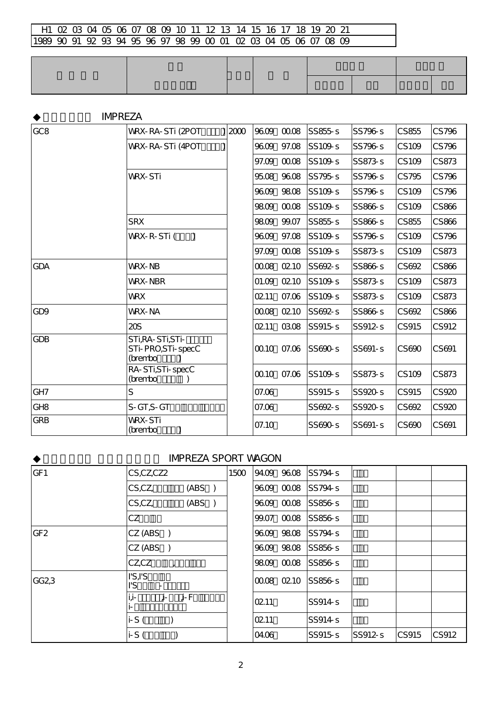### **IMPREZA**

| GC <sub>8</sub> | WRX-RA-STi (2POT                                   | 2000 | 9609  | 0008  | SS855-s | SS796-s   | CS855        | CS796 |
|-----------------|----------------------------------------------------|------|-------|-------|---------|-----------|--------------|-------|
|                 | WRX-RA-STi (4POT                                   |      | 9609  | 97.08 | SS109-s | SS796-s   | CS109        | CS796 |
|                 |                                                    |      | 97.09 | 0008  | SS109-s | SS873-s   | CS109        | CS873 |
|                 | <b>WRX-STi</b>                                     |      | 9508  | 9608  | SS795-s | SS796-s   | CS795        | CS796 |
|                 |                                                    |      | 9609  | 9808  | SS109-s | SS796-s   | CS109        | CS796 |
|                 |                                                    |      | 9809  | 0008  | SS109-s | SS866-s   | CS109        | CS866 |
|                 | <b>SRX</b>                                         |      | 9809  | 99.07 | SS855-s | SS866-s   | CS855        | CS866 |
|                 | WRX-R-STi(<br>$\lambda$                            |      | 9609  | 97.08 | SS109-s | SS796-s   | CS109        | CS796 |
|                 |                                                    |      | 97.09 | 0008  | SS109-s | SS873-s   | CS109        | CS873 |
| <b>GDA</b>      | WRX-NB                                             |      | 0008  | 0210  | SS692-s | SS866-s   | CS692        | CS866 |
|                 | <b>WRX-NBR</b>                                     |      | 01.09 | 0210  | SS109-s | SS873-s   | CS109        | CS873 |
|                 | <b>WRX</b>                                         |      | 0211  | 07.06 | SS109-s | SS873-s   | CS109        | CS873 |
| GD <sub>9</sub> | <b>WRX-NA</b>                                      |      | 0008  | 0210  | SS692-s | SS866-s   | CS692        | CS866 |
|                 | 20S                                                |      | 0211  | 0308  | SS915s  | SS912-s   | <b>CS915</b> | CS912 |
| <b>GDB</b>      | STI, RA-STI, STI-<br>STi-PRO, STi-specC<br>(brembo |      | 0010  | 07.06 | SS690-s | $SS691-S$ | CS690        | CS691 |
|                 | RA-STi, STi-specC<br>(brembo                       |      | 0010  | 07.06 | SS109-s | SS873-s   | CS109        | CS873 |
| GH <sub>7</sub> | S                                                  |      | 07.06 |       | SS915s  | SS920-s   | <b>CS915</b> | CS920 |
| GH <sub>8</sub> | S-GT, S-GT                                         |      | 07.06 |       | SS692-s | SS920-s   | CS692        | CS920 |
| <b>GRB</b>      | <b>WRX-STi</b><br>(brembo                          |      | 07.10 |       | SS690-s | SS691-s   | CS690        | CS691 |

### IMPREZA SPORT WAGON

| GF <sub>1</sub>  | $CS$ , $CZ$ , $CZ$ 2          |        | 1500 |       | 94.09 96.08 SS794-S |        |       |       |
|------------------|-------------------------------|--------|------|-------|---------------------|--------|-------|-------|
|                  | $CS$ , $CZ$ ,                 | (ABS)  |      |       | 9609 0008 SS794-s   |        |       |       |
|                  | $CS$ , $CZ$ ,                 | (ABS)  |      |       | 9609 0008 SS856-S   |        |       |       |
|                  | CZ                            |        |      |       | 99.07 00.08 SS856-S |        |       |       |
| GF <sub>2</sub>  | CZ (ABS)                      |        |      |       | 9609 9808 SS794-S   |        |       |       |
|                  | CZ (ABS)                      |        |      |       | 9609 9808 SS856-S   |        |       |       |
|                  | $CZ$ , $CZ$<br>$\overline{ }$ |        |      |       | 9809 0008 SS856-s   |        |       |       |
| GG <sub>23</sub> | IS.I'S<br>ľS.                 |        |      |       | 00.08 02.10 SS856-S |        |       |       |
|                  | i,i-<br>j-                    | . j- F |      | 0211  | SS914 <sub>s</sub>  |        |       |       |
|                  | $i-S($                        |        |      | 0211  | SS914s              |        |       |       |
|                  | $i-S($                        |        |      | 04.06 | SS915s              | SS912s | CS915 | CS912 |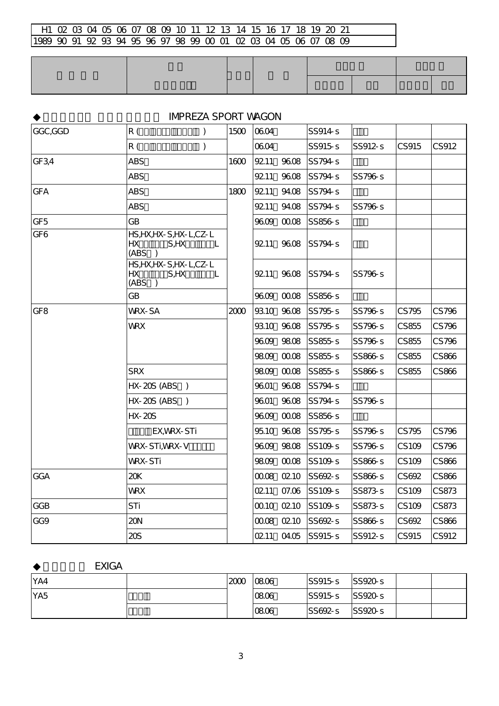## **IMPREZA SPORT WAGON**

| GGC,GGD         | $\mathcal{C}$<br>R (                                         | 1500 | 0604 |             | SS914 <sub>s</sub> |         |              |       |
|-----------------|--------------------------------------------------------------|------|------|-------------|--------------------|---------|--------------|-------|
|                 | R(<br>)                                                      |      | 0604 |             | <b>SS915-S</b>     | SS912-s | <b>CS915</b> | CS912 |
| GF3,4           | <b>ABS</b>                                                   | 1600 |      | 9211 9608   | SS794-s            |         |              |       |
|                 | <b>ABS</b>                                                   |      | 9211 | 9608        | SS794-s            | SS796-s |              |       |
| <b>GFA</b>      | <b>ABS</b>                                                   | 1800 | 9211 | 94.08       | SS794-s            |         |              |       |
|                 | <b>ABS</b>                                                   |      | 9211 | 94.08       | SS794s             | SS796-s |              |       |
| GF <sub>5</sub> | <b>GB</b>                                                    |      |      | 9609 0008   | SS856-s            |         |              |       |
| GF6             | HS, HX, HX-S, HX-L, CZ-L<br>HХ<br>S,HX<br>- L<br>(ABS )      |      |      | 9211 9608   | SS794-s            |         |              |       |
|                 | HS, HX, HX-S, HX-L, CZ-L<br><b>HX</b><br>S, HX<br>L<br>(ABS) |      |      | 9211 9608   | SS794-s            | SS796-s |              |       |
|                 | <b>GB</b>                                                    |      |      | 9609 0008   | SS856-s            |         |              |       |
| GF <sub>8</sub> | <b>WRX-SA</b>                                                | 2000 |      | 9310 9608   | SS795-s            | SS796-s | CS795        | CS796 |
|                 | <b>WRX</b>                                                   |      |      | 9310 9608   | SS795s             | SS796-s | CS855        | CS796 |
|                 |                                                              |      |      | 9609 9808   | SS855-s            | SS796-s | CS855        | CS796 |
|                 |                                                              |      |      | 9809 0008   | SS855-s            | SS866-s | CS855        | CS866 |
|                 | <b>SRX</b>                                                   |      |      | 9809 0008   | SS855-s            | SS866-s | CS855        | CS866 |
|                 | HX-20S (ABS )                                                |      | 9601 | 9608        | SS794-s            |         |              |       |
|                 | $HX-20S (ABS)$                                               |      | 9601 | 9608        | SS794-s            | SS796-s |              |       |
|                 | $HX - 20S$                                                   |      |      | 9609 0008   | SS856-s            |         |              |       |
|                 | EX, WRX-STi                                                  |      |      | 9510 9608   | SS795-s            | SS796-s | CS795        | CS796 |
|                 | <b>WRX-STI, WRX-V</b>                                        |      |      | 9609 9808   | SS109-s            | SS796-s | CS109        | CS796 |
|                 | <b>WRX-STi</b>                                               |      |      | 9809 0008   | SS109-s            | SS866-s | CS109        | CS866 |
| <b>GGA</b>      | 20K                                                          |      |      | 00.08 02.10 | SS692-S            | SS866-s | CS692        | CS866 |
|                 | <b>WRX</b>                                                   |      | 0211 | 07.06       | SS109-s            | SS873-s | <b>CS109</b> | CS873 |
| <b>GGB</b>      | STi                                                          |      |      | 0010 0210   | SS109s             | SS873-s | CS109        | CS873 |
| GG9             | 20N                                                          |      |      | 0008 0210   | SS692-s            | SS866-s | CS692        | CS866 |
|                 | 20S                                                          |      |      | 0211 0405   | SS915s             | SS912-s | <b>CS915</b> | CS912 |

### **EXIGA**

| YA4        | 2000 | 0806 | SS95s   | SS920s |  |
|------------|------|------|---------|--------|--|
| <b>YA5</b> |      | 0806 | SS95s   | SS920s |  |
|            |      | 0806 | SS692-S | SS920s |  |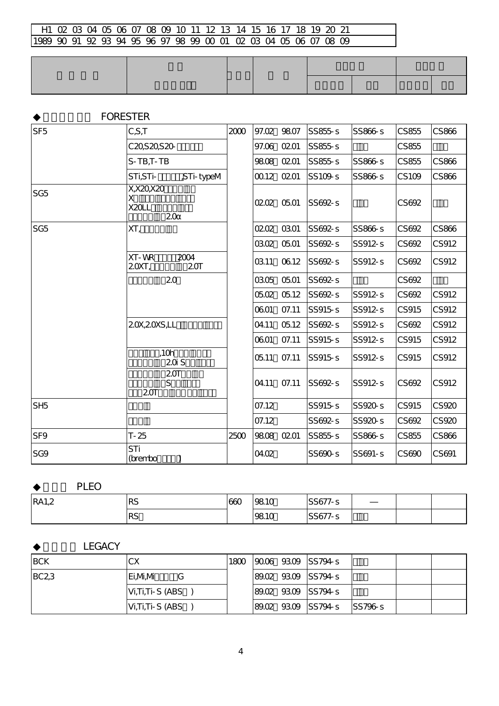|                 | <b>FORESTER</b>                    |      |       |            |                |           |              |       |
|-----------------|------------------------------------|------|-------|------------|----------------|-----------|--------------|-------|
| SF <sub>5</sub> | C, S, T                            | 2000 | 97.02 | 9807       | $SS855 - S$    | SS866-s   | CS855        | CS866 |
|                 | C20S20S20-                         |      |       | 97.06 0201 | SS855-s        |           | CS855        |       |
|                 | $S-TB$ , $T-TB$                    |      |       | 9808 0201  | SS855-s        | SS866-s   | CS855        | CS866 |
|                 | ,STi-typeM<br>STI,STI-             |      |       | 00.12 0201 | SS109-s        | SS866-s   | CS109        | CS866 |
| SG <sub>5</sub> | X, X, ZQ, X, ZQ<br>X<br>X20L<br>20 |      |       | 0202 0501  | SS692-s        |           | CS692        |       |
| SG <sub>5</sub> | XT,                                |      |       | 0202 0301  | SS692-s        | SS866-s   | CS692        | CS866 |
|                 |                                    |      | 0302  | 0501       | SS692-s        | SS912-s   | CS692        | CS912 |
|                 | XT-WR<br>2004<br>20XT,<br>20T      |      | 0311  | 0612       | SS692-s        | SS912-s   | CS692        | CS912 |
|                 | 20                                 |      |       | 0305 0501  | SS692-s        |           | CS692        |       |
|                 |                                    |      |       | 0502 0512  | SS692-s        | SS912-s   | CS692        | CS912 |
|                 |                                    |      | 0601  | 07.11      | SS915-s        | SS912-s   | <b>CS915</b> | CS912 |
|                 | 20X, 20XS, LL                      |      | 04.11 | 0512       | SS692-s        | SS912-s   | CS692        | CS912 |
|                 |                                    |      | 0601  | 07.11      | <b>SS915-S</b> | SS912-s   | CS915        | CS912 |
|                 | ,10h<br>20S                        |      | 05.11 | 07.11      | <b>SS915-S</b> | SS912-s   | CS915        | CS912 |
|                 | 20T<br>S<br>20T                    |      | 04.11 | 07.11      | SS692-s        | SS912-s   | CS692        | CS912 |
| SH <sub>5</sub> |                                    |      | 07.12 |            | <b>SS915-s</b> | SS920-s   | CS915        | CS920 |
|                 |                                    |      | 07.12 |            | SS692-s        | SS920-s   | CS692        | CS920 |
| SF <sub>9</sub> | $T - 25$                           | 2500 |       | 9808 0201  | SS855-s        | SS866-s   | CS855        | CS866 |
| SG9             | STi<br>(brembo                     |      | 04.02 |            | SS690-s        | $SS691-S$ | CS690        | CS691 |

# PLEO

| <b>RA1,2</b> | DC<br>кэ | 66C | 9810 | 0.0177<br>$\sim$<br>55677-<br><u> 1-5 - 1</u> |  |  |
|--------------|----------|-----|------|-----------------------------------------------|--|--|
|              | DC<br>σZ |     | 9810 | 00177<br>$\sim$<br>◡                          |  |  |

## LEGACY

| <b>IBCK</b> | CХ              | 1800 |  | $ 9006 \t 9309 \t  SS794 \t s$ |        |  |
|-------------|-----------------|------|--|--------------------------------|--------|--|
| BC23        | Ei.M.M<br>G     |      |  | 89.02 93.09 SS794-S            |        |  |
|             | Vi,Ti,Ti-S (ABS |      |  | 89.02 93.09 SS794-S            |        |  |
|             | Vi,Ti,Ti-S (ABS |      |  | 89.02 93.09 SS794-S            | SS796s |  |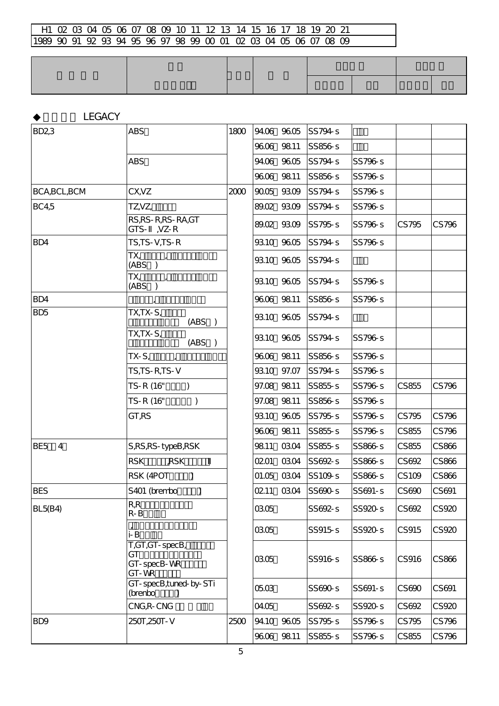| <b>BD23</b>                       | <b>ABS</b>                                   | 1800 |           | 94.06 96.05 | SS794-s        |         |              |       |
|-----------------------------------|----------------------------------------------|------|-----------|-------------|----------------|---------|--------------|-------|
|                                   |                                              |      |           | 9606 9811   | SS856-s        |         |              |       |
|                                   | <b>ABS</b>                                   |      |           | 94.06 96.05 | SS794-s        | SS796-s |              |       |
|                                   |                                              |      |           | 9606 9811   | SS856-s        | SS796-s |              |       |
| BCA, BCL, BCM                     | CX, VZ                                       | 2000 |           | 9005 9309   | SS794-s        | SS796-s |              |       |
| <b>BC4<sub>5</sub></b>            | TZ,VZ,                                       |      |           | 89.02 93.09 | SS794-s        | SS796-s |              |       |
|                                   | RS, RS-R, RS-RA, GT<br>GTS- ,VZ-R            |      |           | 89.02 93.09 | SS795-s        | SS796-s | CS795        | CS796 |
| BD4                               | TS,TS-V,TS-R                                 |      |           | 9310 9605   | SS794-s        | SS796-s |              |       |
|                                   | TX,<br>$\mathbf{r}$<br>(ABS)                 |      |           | 9310 9605   | SS794-s        |         |              |       |
|                                   | TX,<br>$\overline{1}$<br>(ABS)               |      |           | 9310 9605   | SS794-s        | SS796-s |              |       |
| BD4                               |                                              |      |           | 9606 9811   | SS856-s        | SS796-s |              |       |
| BD <sub>5</sub>                   | TX,TX-S,<br>(ABS)                            |      |           | 9310 9605   | SS794-s        |         |              |       |
|                                   | TX,TX-S,<br>(ABS)                            |      |           | 9310 9605   | SS794-s        | SS796-s |              |       |
|                                   | $TX-S_{L}$<br>$\mathbf{r}$                   |      |           | 9606 9811   | SS856s         | SS796-s |              |       |
|                                   | TS,TS-R,TS-V                                 |      |           | 9310 97.07  | SS794 s        | SS796-s |              |       |
|                                   | TS-R (16"<br>$\mathcal{L}$                   |      |           | 97.08 98.11 | SS855-s        | SS796-s | CS855        | CS796 |
|                                   | TS-R (16"<br>$\mathcal{E}$                   |      |           | 97.08 98.11 | SS856-s        | SS796-s |              |       |
|                                   | GT,RS                                        |      |           | 9310 9605   | SS795-s        | SS796-s | CS795        | CS796 |
|                                   |                                              |      |           | 9606 9811   | SS855-s        | SS796-s | CS855        | CS796 |
| $\overline{4}$<br>BE <sub>5</sub> | S, RS, RS-typeB, RSK                         |      | 9811      | 0304        | SS855-s        | SS866-s | CS855        | CS866 |
|                                   | <b>RSK</b><br>,RSK                           |      | 0201      | 0304        | SS692-s        | SS866-s | CS692        | CS866 |
|                                   | RSK (4POT<br>$\lambda$                       |      |           | 01.05 03.04 | SS109-s        | SS866-s | CS109        | CS866 |
| <b>BES</b>                        | S401 (brembo<br>$\mathcal{C}$                |      |           | 0211 0304   | SS690-s        | SS691-s | CS690        | CS691 |
| <b>BL5(B4)</b>                    | R, R<br>$R - B$                              |      | 0305      |             | SS692-s        | SS920-s | CS692        | CS920 |
|                                   | i-B                                          |      | 0305      |             | SS915s         | SS920-s | <b>CS915</b> | CS920 |
|                                   | T,GT,GT-specB,<br>GT<br>GT-specB-WR<br>GT-WR |      | 0305      |             | <b>SS916-S</b> | SS866-s | CS916        | CS866 |
|                                   | GT-specB,tuned-by-STi<br>(brenbo             |      | 0503      |             | SS690-s        | SS691-s | CS690        | CS691 |
|                                   | CNG, R-CNG                                   |      | 04.05     |             | SS692-s        | SS920-s | CS692        | CS920 |
| BD <sub>9</sub>                   | 250T, 250T - V                               | 2500 |           | 94.10 96.05 | SS795-s        | SS796-s | CS795        | CS796 |
|                                   |                                              |      | 9606 9811 |             | SS855-s        | SS796-s | CS855        | CS796 |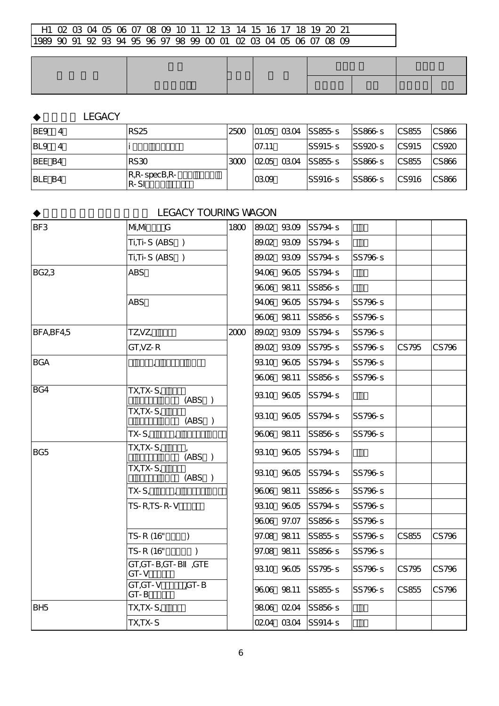### LEGACY

| <b>IBE9</b>   | <b>RS25</b>                       | 25 <sub>0</sub> |       | $ 01.05 \t03.04 $ SS855-s | SS866-s  | $\textcolor{red}{\text{CC}855}$ | CS866                           |
|---------------|-----------------------------------|-----------------|-------|---------------------------|----------|---------------------------------|---------------------------------|
| IBL9<br>-4    |                                   |                 | 07.11 | SS915s                    | SS920s   | ICS915                          | $\textcolor{red}{\text{CS920}}$ |
| BEE B4        | RS30                              | 3000            |       | $ 0205 \t0304 \t SS855-s$ | SS866s   | $\textcolor{red}{\text{CC}855}$ | <b>CS866</b>                    |
| <b>BLE B4</b> | $R$ , $R$ -specB, $R$ -<br>$R-SI$ |                 | 0309  | SS916s                    | ISS866-S | CS916                           | $\mathsf{CC}866$                |

### **LEGACY TOURING WAGON**

| BF3             | M, M<br>G                        | 1800 | 89.02 93.09 | SS794-s           |         |       |       |
|-----------------|----------------------------------|------|-------------|-------------------|---------|-------|-------|
|                 | Ti,Ti-S (ABS )                   |      | 89.02 93.09 | SS794-s           |         |       |       |
|                 | Ti,Ti-S (ABS )                   |      | 89.02 93.09 | SS794s            | SS796-s |       |       |
| <b>BG23</b>     | <b>ABS</b>                       |      | 94.06 96.05 | SS794-s           |         |       |       |
|                 |                                  |      | 9606 9811   | SS856-s           |         |       |       |
|                 | <b>ABS</b>                       |      | 94.06 96.05 | SS794s            | SS796-s |       |       |
|                 |                                  |      | 9606 9811   | SS856s            | SS796-s |       |       |
| BFA, BF4, 5     | TZ,VZ,                           | 2000 | 89.02 93.09 | SS794-s           | SS796-s |       |       |
|                 | $GT, VZ - R$                     |      | 89.02 93.09 | SS795s            | SS796-s | CS795 | CS796 |
| <b>BGA</b>      | $\mathbf{I}$                     |      | 9310 9605   | SS794-s           | SS796s  |       |       |
|                 |                                  |      | 9606 9811   | SS856-s           | SS796-s |       |       |
| BG4             | $TX,TX-S,$<br>(ABS)              |      | 9310 9605   | SS794-s           |         |       |       |
|                 | TX,TX-S,<br>(ABS)                |      | 9310 9605   | SS794-s           | SS796-s |       |       |
|                 | $TX-Si$<br>$\mathbf{r}$          |      | 9606 9811   | SS856-s           | SS796-s |       |       |
| BG <sub>5</sub> | TX,TX-S,<br>(ABS)                |      | 9310 9605   | SS794-s           |         |       |       |
|                 | TX,TX-S,<br>(ABS)                |      | 9310 9605   | SS794-s           | SS796-s |       |       |
|                 | $TX-S_{1}$<br>$\mathbf{r}$       |      | 9606 9811   | SS856-s           | SS796s  |       |       |
|                 | $TS-R$ , $TS-R-V$                |      | 9310 9605   | SS794-s           | SS796-s |       |       |
|                 |                                  |      | 9606 97.07  | SS856-s           | SS796-s |       |       |
|                 | TS-R (16"<br>$\mathcal{L}$       |      | 97.08 98.11 | SS855-s           | SS796s  | CS855 | CS796 |
|                 | TS-R (16"<br>$\mathcal{C}$       |      | 97.08 98.11 | SS856-s           | SS796-s |       |       |
|                 | GT, GT-B, GT-B , GTE<br>$GT - V$ |      | 9310 9605   | SS795-s           | SS796s  | CS795 | CS796 |
|                 | GT,GT-V<br>$G - B$<br>GT-B       |      | 9606 9811   | SS855-s           | SS796-s | CS855 | CS796 |
| BH <sub>5</sub> | TX,TX-S,                         |      | 9806 0204   | SS856-s           |         |       |       |
|                 | TX,TX-S                          |      |             | 0204 0304 SS914-s |         |       |       |